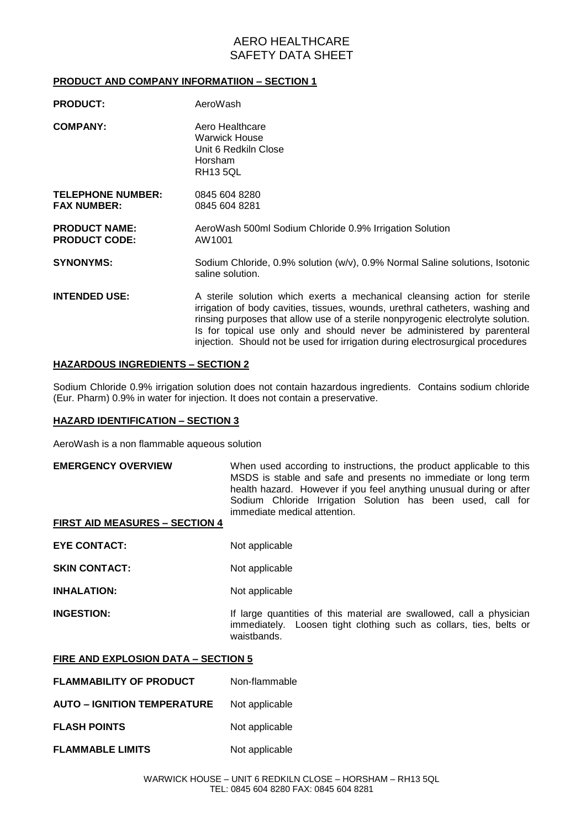# AERO HEALTHCARE SAFETY DATA SHEET

## **PRODUCT AND COMPANY INFORMATIION – SECTION 1**

| <b>PRODUCT:</b>                                | AeroWash                                                                                                                                                                                                                                                                                                                                                                                                  |  |
|------------------------------------------------|-----------------------------------------------------------------------------------------------------------------------------------------------------------------------------------------------------------------------------------------------------------------------------------------------------------------------------------------------------------------------------------------------------------|--|
| <b>COMPANY:</b>                                | Aero Healthcare<br>Warwick House<br>Unit 6 Redkiln Close<br><b>Horsham</b><br><b>RH13 5QL</b>                                                                                                                                                                                                                                                                                                             |  |
| <b>TELEPHONE NUMBER:</b><br><b>FAX NUMBER:</b> | 0845 604 8280<br>0845 604 8281                                                                                                                                                                                                                                                                                                                                                                            |  |
| <b>PRODUCT NAME:</b><br><b>PRODUCT CODE:</b>   | AeroWash 500ml Sodium Chloride 0.9% Irrigation Solution<br>AW1001                                                                                                                                                                                                                                                                                                                                         |  |
| <b>SYNONYMS:</b>                               | Sodium Chloride, 0.9% solution (w/v), 0.9% Normal Saline solutions, Isotonic<br>saline solution.                                                                                                                                                                                                                                                                                                          |  |
| <b>INTENDED USE:</b>                           | A sterile solution which exerts a mechanical cleansing action for sterile<br>irrigation of body cavities, tissues, wounds, urethral catheters, washing and<br>rinsing purposes that allow use of a sterile nonpyrogenic electrolyte solution.<br>Is for topical use only and should never be administered by parenteral<br>injection. Should not be used for irrigation during electrosurgical procedures |  |

### **HAZARDOUS INGREDIENTS – SECTION 2**

Sodium Chloride 0.9% irrigation solution does not contain hazardous ingredients. Contains sodium chloride (Eur. Pharm) 0.9% in water for injection. It does not contain a preservative.

### **HAZARD IDENTIFICATION – SECTION 3**

AeroWash is a non flammable aqueous solution

**EMERGENCY OVERVIEW** When used according to instructions, the product applicable to this MSDS is stable and safe and presents no immediate or long term health hazard. However if you feel anything unusual during or after Sodium Chloride Irrigation Solution has been used, call for immediate medical attention.

## **FIRST AID MEASURES – SECTION 4**

**EYE CONTACT:** Not applicable

**SKIN CONTACT:** Not applicable

**INHALATION:** Not applicable

**INGESTION:** If large quantities of this material are swallowed, call a physician immediately. Loosen tight clothing such as collars, ties, belts or waistbands.

### **FIRE AND EXPLOSION DATA – SECTION 5**

- **FLAMMABILITY OF PRODUCT** Non-flammable
- **AUTO – IGNITION TEMPERATURE** Not applicable
- **FLASH POINTS** Not applicable
- **FLAMMABLE LIMITS** Not applicable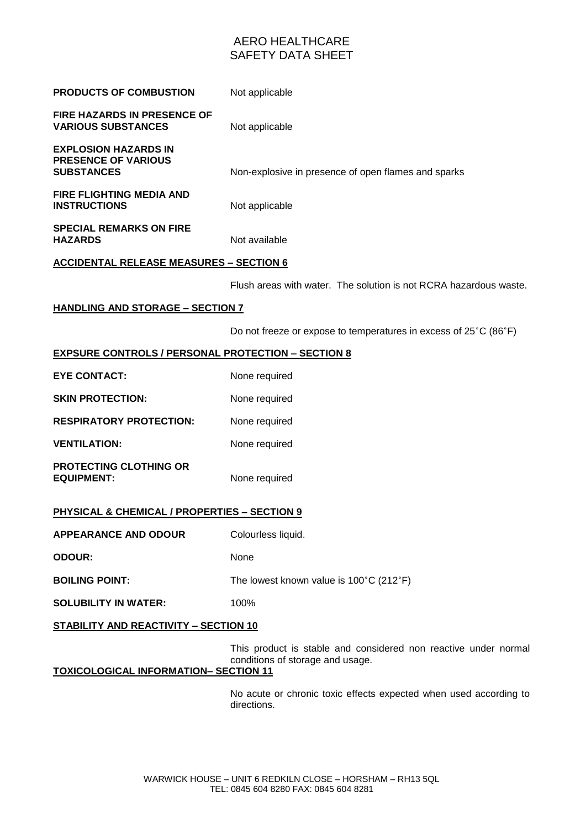# AERO HEALTHCARE SAFETY DATA SHEET

| <b>PRODUCTS OF COMBUSTION</b>                                           | Not applicable                                                    |  |  |  |
|-------------------------------------------------------------------------|-------------------------------------------------------------------|--|--|--|
| FIRE HAZARDS IN PRESENCE OF<br><b>VARIOUS SUBSTANCES</b>                | Not applicable                                                    |  |  |  |
| <b>EXPLOSION HAZARDS IN</b><br>PRESENCE OF VARIOUS<br><b>SUBSTANCES</b> | Non-explosive in presence of open flames and sparks               |  |  |  |
| <b>FIRE FLIGHTING MEDIA AND</b><br><b>INSTRUCTIONS</b>                  | Not applicable                                                    |  |  |  |
| <b>SPECIAL REMARKS ON FIRE</b><br><b>HAZARDS</b>                        | Not available                                                     |  |  |  |
| <b>ACCIDENTAL RELEASE MEASURES - SECTION 6</b>                          |                                                                   |  |  |  |
|                                                                         | Flush areas with water. The solution is not RCRA hazardous waste. |  |  |  |
| <b>HANDLING AND STORAGE - SECTION 7</b>                                 |                                                                   |  |  |  |
|                                                                         | Do not freeze or expose to temperatures in excess of 25°C (86°F)  |  |  |  |
| <b>EXPSURE CONTROLS / PERSONAL PROTECTION - SECTION 8</b>               |                                                                   |  |  |  |
| <b>EYE CONTACT:</b>                                                     | None required                                                     |  |  |  |
| <b>SKIN PROTECTION:</b>                                                 | None required                                                     |  |  |  |
| <b>RESPIRATORY PROTECTION:</b>                                          | None required                                                     |  |  |  |
| <b>VENTILATION:</b>                                                     | None required                                                     |  |  |  |
| PROTECTING CLOTHING OR<br><b>EQUIPMENT:</b>                             | None required                                                     |  |  |  |
| <b>PHYSICAL &amp; CHEMICAL / PROPERTIES - SECTION 9</b>                 |                                                                   |  |  |  |
| <b>APPEARANCE AND ODOUR</b>                                             | Colourless liquid.                                                |  |  |  |

**ODOUR:** None

**BOILING POINT:** The lowest known value is 100°C (212°F)

**SOLUBILITY IN WATER:** 100%

## **STABILITY AND REACTIVITY – SECTION 10**

This product is stable and considered non reactive under normal conditions of storage and usage.

## **TOXICOLOGICAL INFORMATION– SECTION 11**

No acute or chronic toxic effects expected when used according to directions.